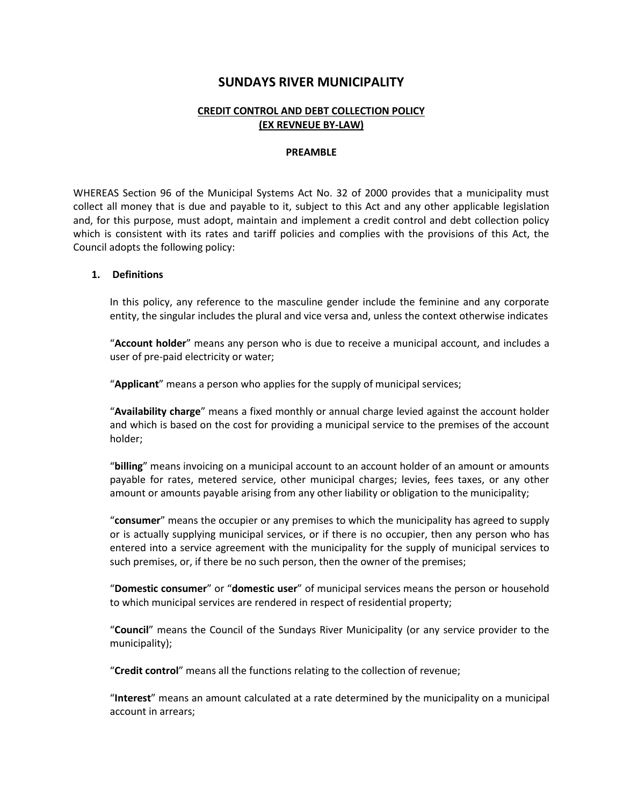# **SUNDAYS RIVER MUNICIPALITY**

# **CREDIT CONTROL AND DEBT COLLECTION POLICY (EX REVNEUE BY-LAW)**

#### **PREAMBLE**

WHEREAS Section 96 of the Municipal Systems Act No. 32 of 2000 provides that a municipality must collect all money that is due and payable to it, subject to this Act and any other applicable legislation and, for this purpose, must adopt, maintain and implement a credit control and debt collection policy which is consistent with its rates and tariff policies and complies with the provisions of this Act, the Council adopts the following policy:

#### **1. Definitions**

In this policy, any reference to the masculine gender include the feminine and any corporate entity, the singular includes the plural and vice versa and, unless the context otherwise indicates

"**Account holder**" means any person who is due to receive a municipal account, and includes a user of pre-paid electricity or water;

"**Applicant**" means a person who applies for the supply of municipal services;

"**Availability charge**" means a fixed monthly or annual charge levied against the account holder and which is based on the cost for providing a municipal service to the premises of the account holder;

"**billing**" means invoicing on a municipal account to an account holder of an amount or amounts payable for rates, metered service, other municipal charges; levies, fees taxes, or any other amount or amounts payable arising from any other liability or obligation to the municipality;

"**consumer**" means the occupier or any premises to which the municipality has agreed to supply or is actually supplying municipal services, or if there is no occupier, then any person who has entered into a service agreement with the municipality for the supply of municipal services to such premises, or, if there be no such person, then the owner of the premises;

"**Domestic consumer**" or "**domestic user**" of municipal services means the person or household to which municipal services are rendered in respect of residential property;

"**Council**" means the Council of the Sundays River Municipality (or any service provider to the municipality);

"**Credit control**" means all the functions relating to the collection of revenue;

"**Interest**" means an amount calculated at a rate determined by the municipality on a municipal account in arrears;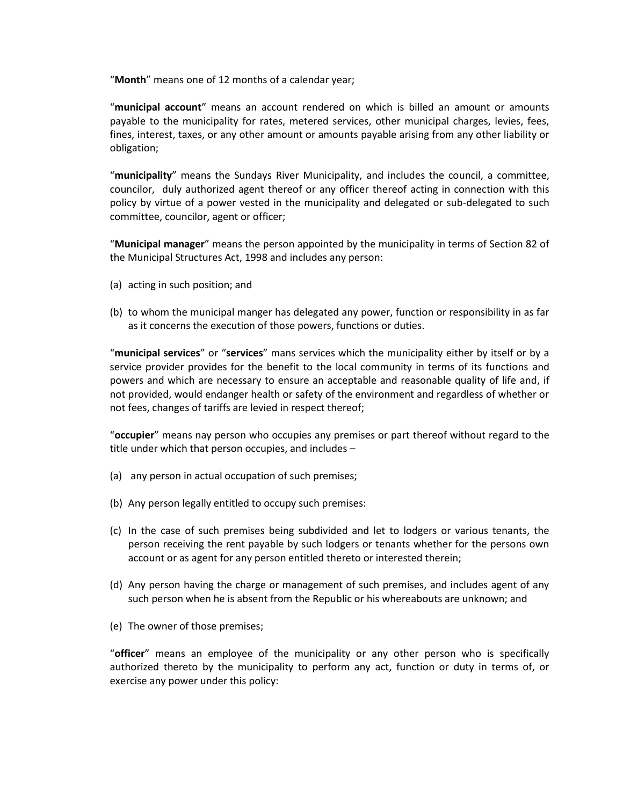"**Month**" means one of 12 months of a calendar year;

"**municipal account**" means an account rendered on which is billed an amount or amounts payable to the municipality for rates, metered services, other municipal charges, levies, fees, fines, interest, taxes, or any other amount or amounts payable arising from any other liability or obligation;

"**municipality**" means the Sundays River Municipality, and includes the council, a committee, councilor, duly authorized agent thereof or any officer thereof acting in connection with this policy by virtue of a power vested in the municipality and delegated or sub-delegated to such committee, councilor, agent or officer;

"**Municipal manager**" means the person appointed by the municipality in terms of Section 82 of the Municipal Structures Act, 1998 and includes any person:

- (a) acting in such position; and
- (b) to whom the municipal manger has delegated any power, function or responsibility in as far as it concerns the execution of those powers, functions or duties.

"**municipal services**" or "**services**" mans services which the municipality either by itself or by a service provider provides for the benefit to the local community in terms of its functions and powers and which are necessary to ensure an acceptable and reasonable quality of life and, if not provided, would endanger health or safety of the environment and regardless of whether or not fees, changes of tariffs are levied in respect thereof;

"**occupier**" means nay person who occupies any premises or part thereof without regard to the title under which that person occupies, and includes –

- (a) any person in actual occupation of such premises;
- (b) Any person legally entitled to occupy such premises:
- (c) In the case of such premises being subdivided and let to lodgers or various tenants, the person receiving the rent payable by such lodgers or tenants whether for the persons own account or as agent for any person entitled thereto or interested therein;
- (d) Any person having the charge or management of such premises, and includes agent of any such person when he is absent from the Republic or his whereabouts are unknown; and
- (e) The owner of those premises;

"**officer**" means an employee of the municipality or any other person who is specifically authorized thereto by the municipality to perform any act, function or duty in terms of, or exercise any power under this policy: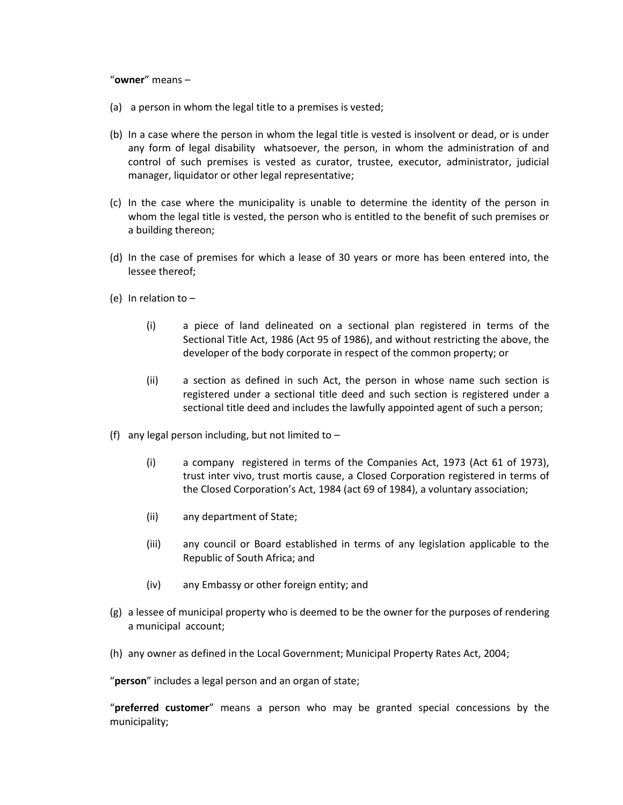"**owner**" means –

- (a) a person in whom the legal title to a premises is vested;
- (b) In a case where the person in whom the legal title is vested is insolvent or dead, or is under any form of legal disability whatsoever, the person, in whom the administration of and control of such premises is vested as curator, trustee, executor, administrator, judicial manager, liquidator or other legal representative;
- (c) In the case where the municipality is unable to determine the identity of the person in whom the legal title is vested, the person who is entitled to the benefit of such premises or a building thereon;
- (d) In the case of premises for which a lease of 30 years or more has been entered into, the lessee thereof;
- (e) In relation to  $-$ 
	- (i) a piece of land delineated on a sectional plan registered in terms of the Sectional Title Act, 1986 (Act 95 of 1986), and without restricting the above, the developer of the body corporate in respect of the common property; or
	- (ii) a section as defined in such Act, the person in whose name such section is registered under a sectional title deed and such section is registered under a sectional title deed and includes the lawfully appointed agent of such a person;
- (f) any legal person including, but not limited to  $-$ 
	- (i) a company registered in terms of the Companies Act, 1973 (Act 61 of 1973), trust inter vivo, trust mortis cause, a Closed Corporation registered in terms of the Closed Corporation's Act, 1984 (act 69 of 1984), a voluntary association;
	- (ii) any department of State;
	- (iii) any council or Board established in terms of any legislation applicable to the Republic of South Africa; and
	- (iv) any Embassy or other foreign entity; and
- (g) a lessee of municipal property who is deemed to be the owner for the purposes of rendering a municipal account;
- (h) any owner as defined in the Local Government; Municipal Property Rates Act, 2004;

"**person**" includes a legal person and an organ of state;

"**preferred customer**" means a person who may be granted special concessions by the municipality;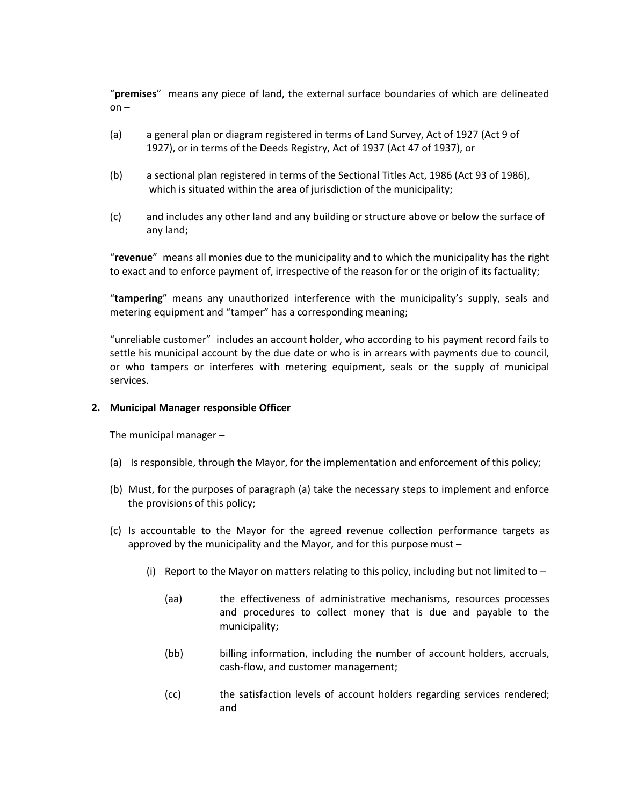"**premises**" means any piece of land, the external surface boundaries of which are delineated on –

- (a) a general plan or diagram registered in terms of Land Survey, Act of 1927 (Act 9 of 1927), or in terms of the Deeds Registry, Act of 1937 (Act 47 of 1937), or
- (b) a sectional plan registered in terms of the Sectional Titles Act, 1986 (Act 93 of 1986), which is situated within the area of jurisdiction of the municipality;
- (c) and includes any other land and any building or structure above or below the surface of any land;

"**revenue**" means all monies due to the municipality and to which the municipality has the right to exact and to enforce payment of, irrespective of the reason for or the origin of its factuality;

"**tampering**" means any unauthorized interference with the municipality's supply, seals and metering equipment and "tamper" has a corresponding meaning;

"unreliable customer" includes an account holder, who according to his payment record fails to settle his municipal account by the due date or who is in arrears with payments due to council, or who tampers or interferes with metering equipment, seals or the supply of municipal services.

## **2. Municipal Manager responsible Officer**

The municipal manager –

- (a) Is responsible, through the Mayor, for the implementation and enforcement of this policy;
- (b) Must, for the purposes of paragraph (a) take the necessary steps to implement and enforce the provisions of this policy;
- (c) Is accountable to the Mayor for the agreed revenue collection performance targets as approved by the municipality and the Mayor, and for this purpose must –
	- (i) Report to the Mayor on matters relating to this policy, including but not limited to  $-$ 
		- (aa) the effectiveness of administrative mechanisms, resources processes and procedures to collect money that is due and payable to the municipality;
		- (bb) billing information, including the number of account holders, accruals, cash-flow, and customer management;
		- (cc) the satisfaction levels of account holders regarding services rendered; and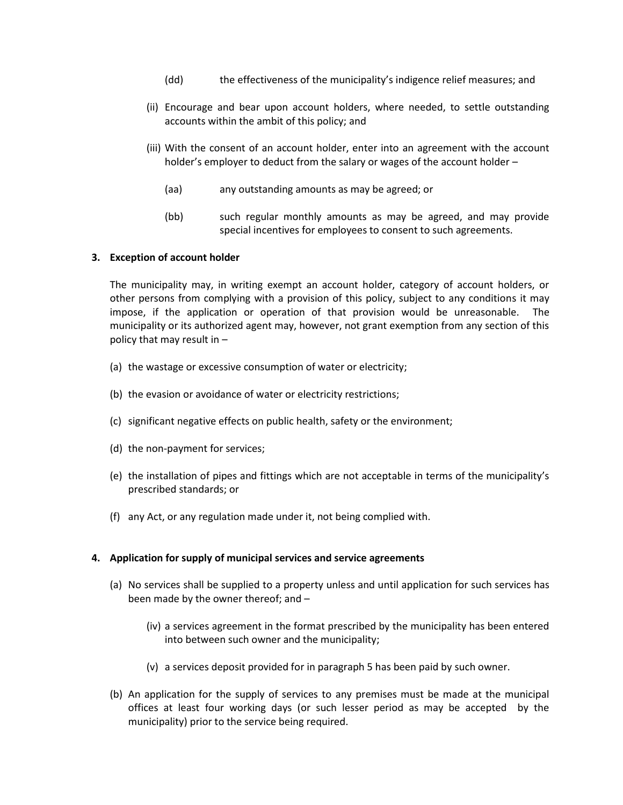- (dd) the effectiveness of the municipality's indigence relief measures; and
- (ii) Encourage and bear upon account holders, where needed, to settle outstanding accounts within the ambit of this policy; and
- (iii) With the consent of an account holder, enter into an agreement with the account holder's employer to deduct from the salary or wages of the account holder –
	- (aa) any outstanding amounts as may be agreed; or
	- (bb) such regular monthly amounts as may be agreed, and may provide special incentives for employees to consent to such agreements.

## **3. Exception of account holder**

The municipality may, in writing exempt an account holder, category of account holders, or other persons from complying with a provision of this policy, subject to any conditions it may impose, if the application or operation of that provision would be unreasonable. The municipality or its authorized agent may, however, not grant exemption from any section of this policy that may result in –

- (a) the wastage or excessive consumption of water or electricity;
- (b) the evasion or avoidance of water or electricity restrictions;
- (c) significant negative effects on public health, safety or the environment;
- (d) the non-payment for services;
- (e) the installation of pipes and fittings which are not acceptable in terms of the municipality's prescribed standards; or
- (f) any Act, or any regulation made under it, not being complied with.

#### **4. Application for supply of municipal services and service agreements**

- (a) No services shall be supplied to a property unless and until application for such services has been made by the owner thereof; and –
	- (iv) a services agreement in the format prescribed by the municipality has been entered into between such owner and the municipality;
	- (v) a services deposit provided for in paragraph 5 has been paid by such owner.
- (b) An application for the supply of services to any premises must be made at the municipal offices at least four working days (or such lesser period as may be accepted by the municipality) prior to the service being required.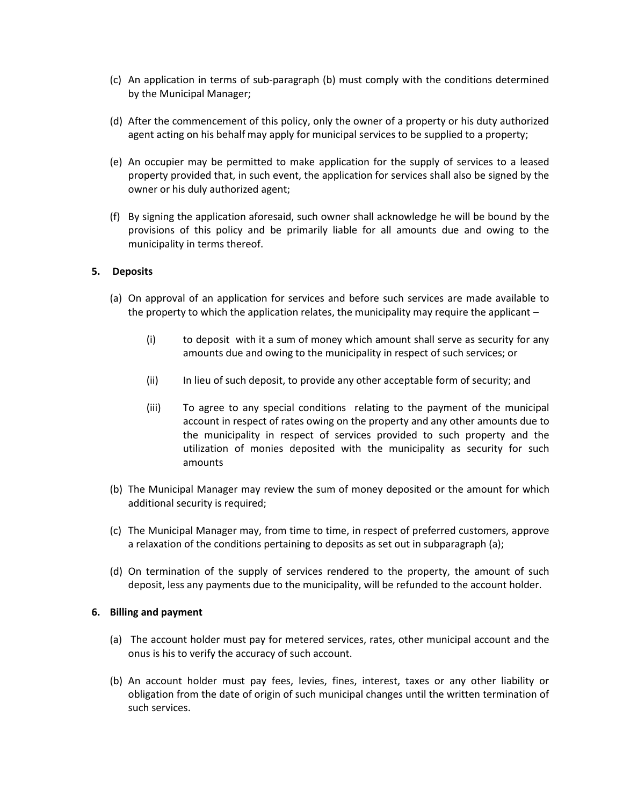- (c) An application in terms of sub-paragraph (b) must comply with the conditions determined by the Municipal Manager;
- (d) After the commencement of this policy, only the owner of a property or his duty authorized agent acting on his behalf may apply for municipal services to be supplied to a property;
- (e) An occupier may be permitted to make application for the supply of services to a leased property provided that, in such event, the application for services shall also be signed by the owner or his duly authorized agent;
- (f) By signing the application aforesaid, such owner shall acknowledge he will be bound by the provisions of this policy and be primarily liable for all amounts due and owing to the municipality in terms thereof.

## **5. Deposits**

- (a) On approval of an application for services and before such services are made available to the property to which the application relates, the municipality may require the applicant –
	- (i) to deposit with it a sum of money which amount shall serve as security for any amounts due and owing to the municipality in respect of such services; or
	- (ii) In lieu of such deposit, to provide any other acceptable form of security; and
	- (iii) To agree to any special conditions relating to the payment of the municipal account in respect of rates owing on the property and any other amounts due to the municipality in respect of services provided to such property and the utilization of monies deposited with the municipality as security for such amounts
- (b) The Municipal Manager may review the sum of money deposited or the amount for which additional security is required;
- (c) The Municipal Manager may, from time to time, in respect of preferred customers, approve a relaxation of the conditions pertaining to deposits as set out in subparagraph (a);
- (d) On termination of the supply of services rendered to the property, the amount of such deposit, less any payments due to the municipality, will be refunded to the account holder.

#### **6. Billing and payment**

- (a) The account holder must pay for metered services, rates, other municipal account and the onus is his to verify the accuracy of such account.
- (b) An account holder must pay fees, levies, fines, interest, taxes or any other liability or obligation from the date of origin of such municipal changes until the written termination of such services.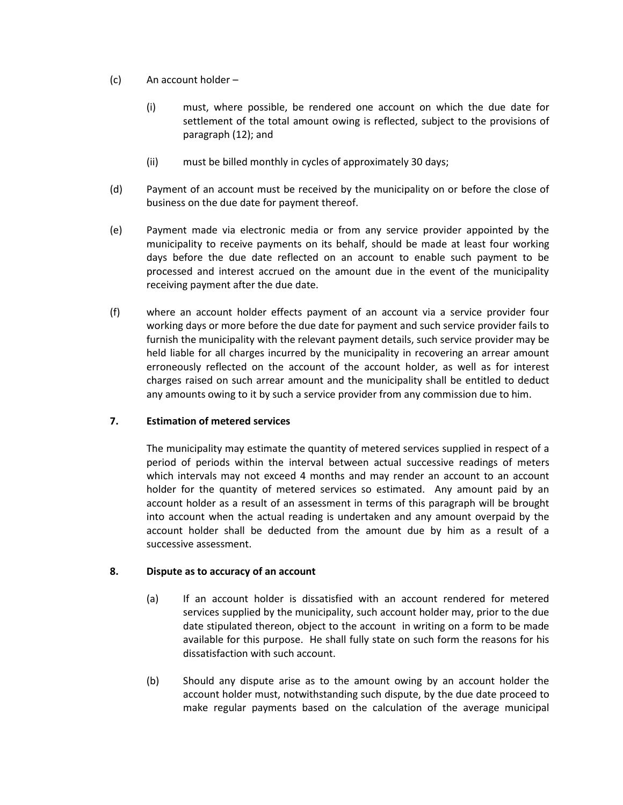- (c) An account holder
	- (i) must, where possible, be rendered one account on which the due date for settlement of the total amount owing is reflected, subject to the provisions of paragraph (12); and
	- (ii) must be billed monthly in cycles of approximately 30 days;
- (d) Payment of an account must be received by the municipality on or before the close of business on the due date for payment thereof.
- (e) Payment made via electronic media or from any service provider appointed by the municipality to receive payments on its behalf, should be made at least four working days before the due date reflected on an account to enable such payment to be processed and interest accrued on the amount due in the event of the municipality receiving payment after the due date.
- (f) where an account holder effects payment of an account via a service provider four working days or more before the due date for payment and such service provider fails to furnish the municipality with the relevant payment details, such service provider may be held liable for all charges incurred by the municipality in recovering an arrear amount erroneously reflected on the account of the account holder, as well as for interest charges raised on such arrear amount and the municipality shall be entitled to deduct any amounts owing to it by such a service provider from any commission due to him.

## **7. Estimation of metered services**

The municipality may estimate the quantity of metered services supplied in respect of a period of periods within the interval between actual successive readings of meters which intervals may not exceed 4 months and may render an account to an account holder for the quantity of metered services so estimated. Any amount paid by an account holder as a result of an assessment in terms of this paragraph will be brought into account when the actual reading is undertaken and any amount overpaid by the account holder shall be deducted from the amount due by him as a result of a successive assessment.

## **8. Dispute as to accuracy of an account**

- (a) If an account holder is dissatisfied with an account rendered for metered services supplied by the municipality, such account holder may, prior to the due date stipulated thereon, object to the account in writing on a form to be made available for this purpose. He shall fully state on such form the reasons for his dissatisfaction with such account.
- (b) Should any dispute arise as to the amount owing by an account holder the account holder must, notwithstanding such dispute, by the due date proceed to make regular payments based on the calculation of the average municipal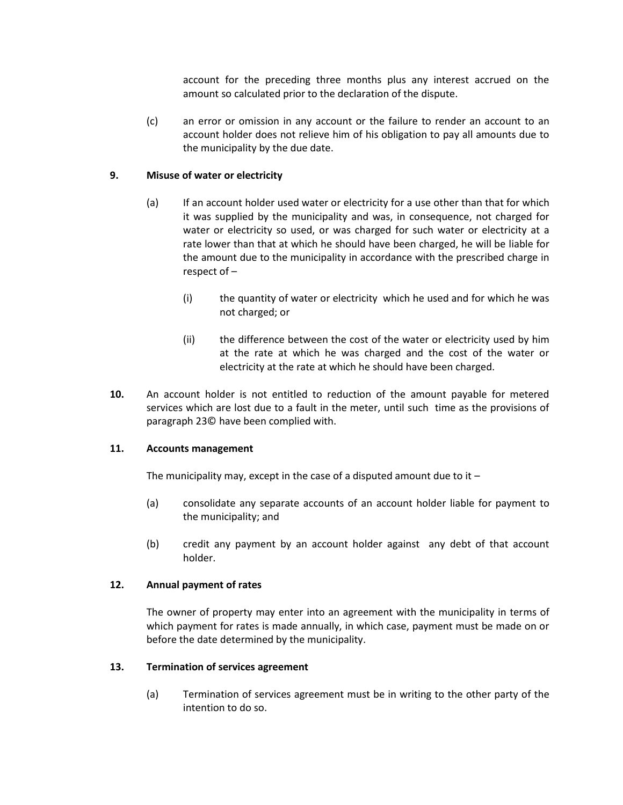account for the preceding three months plus any interest accrued on the amount so calculated prior to the declaration of the dispute.

(c) an error or omission in any account or the failure to render an account to an account holder does not relieve him of his obligation to pay all amounts due to the municipality by the due date.

# **9. Misuse of water or electricity**

- (a) If an account holder used water or electricity for a use other than that for which it was supplied by the municipality and was, in consequence, not charged for water or electricity so used, or was charged for such water or electricity at a rate lower than that at which he should have been charged, he will be liable for the amount due to the municipality in accordance with the prescribed charge in respect of –
	- (i) the quantity of water or electricity which he used and for which he was not charged; or
	- (ii) the difference between the cost of the water or electricity used by him at the rate at which he was charged and the cost of the water or electricity at the rate at which he should have been charged.
- **10.** An account holder is not entitled to reduction of the amount payable for metered services which are lost due to a fault in the meter, until such time as the provisions of paragraph 23© have been complied with.

## **11. Accounts management**

The municipality may, except in the case of a disputed amount due to it  $-$ 

- (a) consolidate any separate accounts of an account holder liable for payment to the municipality; and
- (b) credit any payment by an account holder against any debt of that account holder.

## **12. Annual payment of rates**

The owner of property may enter into an agreement with the municipality in terms of which payment for rates is made annually, in which case, payment must be made on or before the date determined by the municipality.

## **13. Termination of services agreement**

(a) Termination of services agreement must be in writing to the other party of the intention to do so.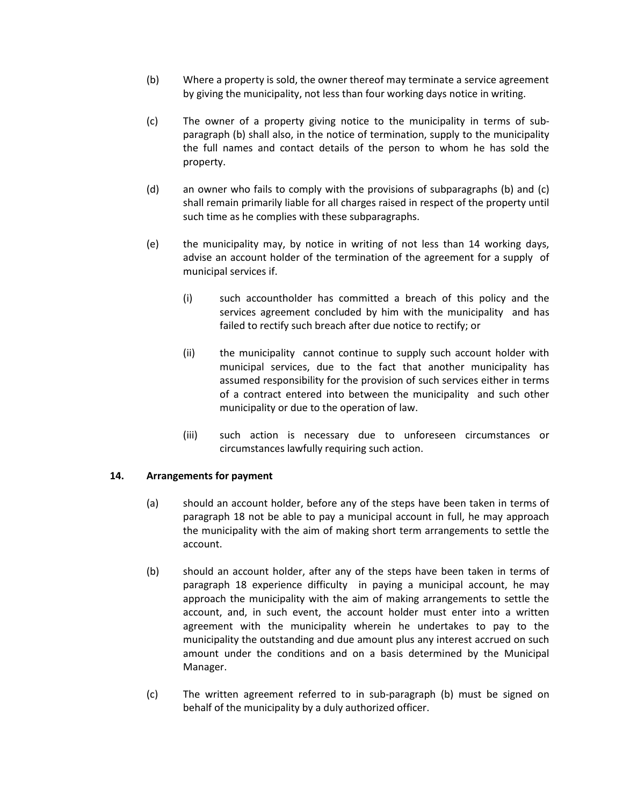- (b) Where a property is sold, the owner thereof may terminate a service agreement by giving the municipality, not less than four working days notice in writing.
- (c) The owner of a property giving notice to the municipality in terms of subparagraph (b) shall also, in the notice of termination, supply to the municipality the full names and contact details of the person to whom he has sold the property.
- (d) an owner who fails to comply with the provisions of subparagraphs (b) and (c) shall remain primarily liable for all charges raised in respect of the property until such time as he complies with these subparagraphs.
- (e) the municipality may, by notice in writing of not less than 14 working days, advise an account holder of the termination of the agreement for a supply of municipal services if.
	- (i) such accountholder has committed a breach of this policy and the services agreement concluded by him with the municipality and has failed to rectify such breach after due notice to rectify; or
	- (ii) the municipality cannot continue to supply such account holder with municipal services, due to the fact that another municipality has assumed responsibility for the provision of such services either in terms of a contract entered into between the municipality and such other municipality or due to the operation of law.
	- (iii) such action is necessary due to unforeseen circumstances or circumstances lawfully requiring such action.

## **14. Arrangements for payment**

- (a) should an account holder, before any of the steps have been taken in terms of paragraph 18 not be able to pay a municipal account in full, he may approach the municipality with the aim of making short term arrangements to settle the account.
- (b) should an account holder, after any of the steps have been taken in terms of paragraph 18 experience difficulty in paying a municipal account, he may approach the municipality with the aim of making arrangements to settle the account, and, in such event, the account holder must enter into a written agreement with the municipality wherein he undertakes to pay to the municipality the outstanding and due amount plus any interest accrued on such amount under the conditions and on a basis determined by the Municipal Manager.
- (c) The written agreement referred to in sub-paragraph (b) must be signed on behalf of the municipality by a duly authorized officer.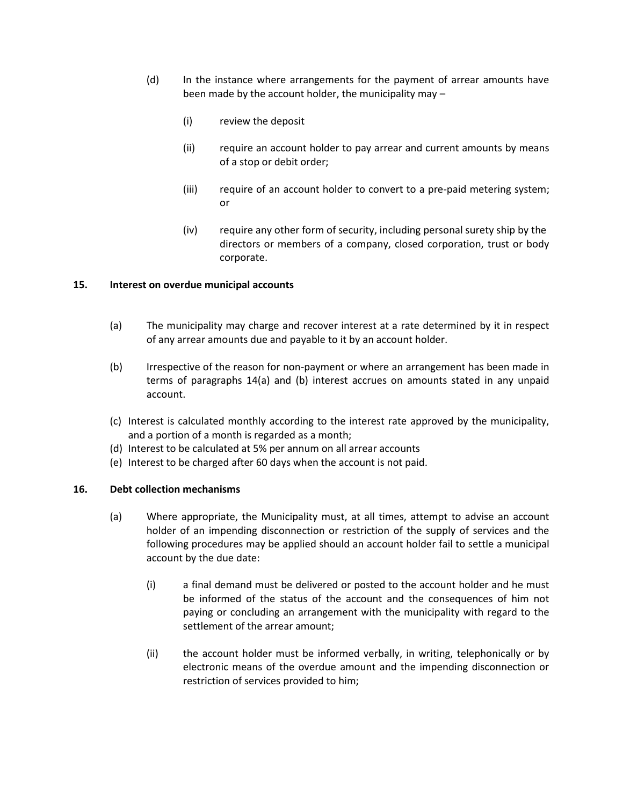- (d) In the instance where arrangements for the payment of arrear amounts have been made by the account holder, the municipality may –
	- (i) review the deposit
	- (ii) require an account holder to pay arrear and current amounts by means of a stop or debit order;
	- (iii) require of an account holder to convert to a pre-paid metering system; or
	- (iv) require any other form of security, including personal surety ship by the directors or members of a company, closed corporation, trust or body corporate.

## **15. Interest on overdue municipal accounts**

- (a) The municipality may charge and recover interest at a rate determined by it in respect of any arrear amounts due and payable to it by an account holder.
- (b) Irrespective of the reason for non-payment or where an arrangement has been made in terms of paragraphs 14(a) and (b) interest accrues on amounts stated in any unpaid account.
- (c) Interest is calculated monthly according to the interest rate approved by the municipality, and a portion of a month is regarded as a month;
- (d) Interest to be calculated at 5% per annum on all arrear accounts
- (e) Interest to be charged after 60 days when the account is not paid.

## **16. Debt collection mechanisms**

- (a) Where appropriate, the Municipality must, at all times, attempt to advise an account holder of an impending disconnection or restriction of the supply of services and the following procedures may be applied should an account holder fail to settle a municipal account by the due date:
	- (i) a final demand must be delivered or posted to the account holder and he must be informed of the status of the account and the consequences of him not paying or concluding an arrangement with the municipality with regard to the settlement of the arrear amount;
	- (ii) the account holder must be informed verbally, in writing, telephonically or by electronic means of the overdue amount and the impending disconnection or restriction of services provided to him;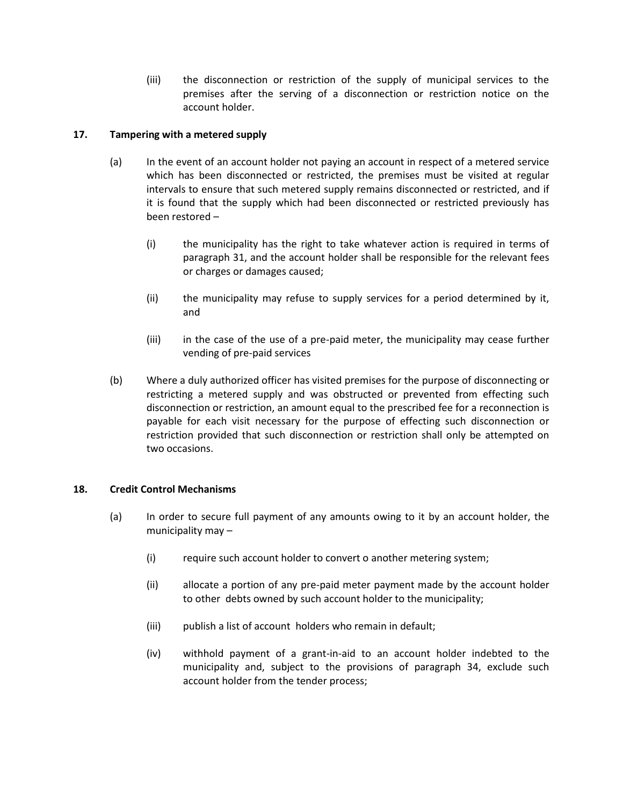(iii) the disconnection or restriction of the supply of municipal services to the premises after the serving of a disconnection or restriction notice on the account holder.

# **17. Tampering with a metered supply**

- (a) In the event of an account holder not paying an account in respect of a metered service which has been disconnected or restricted, the premises must be visited at regular intervals to ensure that such metered supply remains disconnected or restricted, and if it is found that the supply which had been disconnected or restricted previously has been restored –
	- (i) the municipality has the right to take whatever action is required in terms of paragraph 31, and the account holder shall be responsible for the relevant fees or charges or damages caused;
	- (ii) the municipality may refuse to supply services for a period determined by it, and
	- (iii) in the case of the use of a pre-paid meter, the municipality may cease further vending of pre-paid services
- (b) Where a duly authorized officer has visited premises for the purpose of disconnecting or restricting a metered supply and was obstructed or prevented from effecting such disconnection or restriction, an amount equal to the prescribed fee for a reconnection is payable for each visit necessary for the purpose of effecting such disconnection or restriction provided that such disconnection or restriction shall only be attempted on two occasions.

## **18. Credit Control Mechanisms**

- (a) In order to secure full payment of any amounts owing to it by an account holder, the municipality may –
	- (i) require such account holder to convert o another metering system;
	- (ii) allocate a portion of any pre-paid meter payment made by the account holder to other debts owned by such account holder to the municipality;
	- (iii) publish a list of account holders who remain in default;
	- (iv) withhold payment of a grant-in-aid to an account holder indebted to the municipality and, subject to the provisions of paragraph 34, exclude such account holder from the tender process;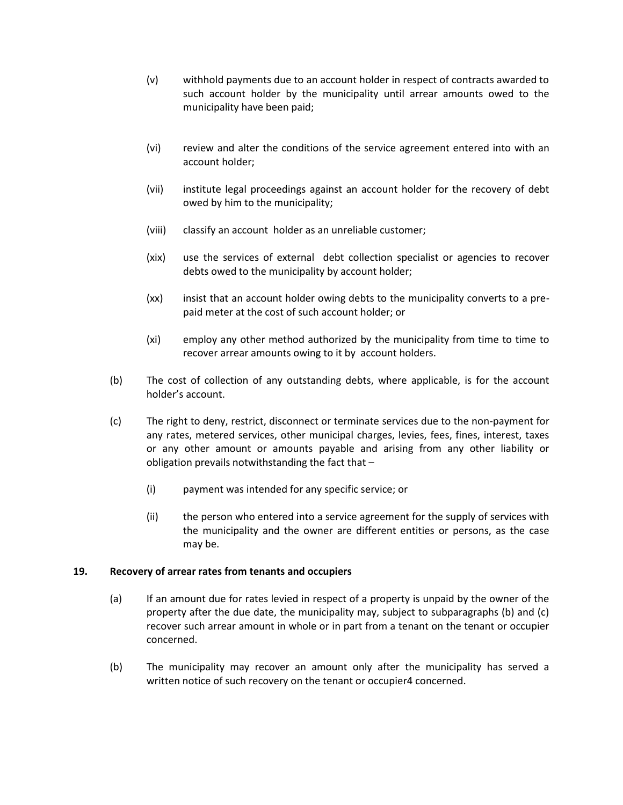- (v) withhold payments due to an account holder in respect of contracts awarded to such account holder by the municipality until arrear amounts owed to the municipality have been paid;
- (vi) review and alter the conditions of the service agreement entered into with an account holder;
- (vii) institute legal proceedings against an account holder for the recovery of debt owed by him to the municipality;
- (viii) classify an account holder as an unreliable customer;
- (xix) use the services of external debt collection specialist or agencies to recover debts owed to the municipality by account holder;
- (xx) insist that an account holder owing debts to the municipality converts to a prepaid meter at the cost of such account holder; or
- (xi) employ any other method authorized by the municipality from time to time to recover arrear amounts owing to it by account holders.
- (b) The cost of collection of any outstanding debts, where applicable, is for the account holder's account.
- (c) The right to deny, restrict, disconnect or terminate services due to the non-payment for any rates, metered services, other municipal charges, levies, fees, fines, interest, taxes or any other amount or amounts payable and arising from any other liability or obligation prevails notwithstanding the fact that –
	- (i) payment was intended for any specific service; or
	- (ii) the person who entered into a service agreement for the supply of services with the municipality and the owner are different entities or persons, as the case may be.

#### **19. Recovery of arrear rates from tenants and occupiers**

- (a) If an amount due for rates levied in respect of a property is unpaid by the owner of the property after the due date, the municipality may, subject to subparagraphs (b) and (c) recover such arrear amount in whole or in part from a tenant on the tenant or occupier concerned.
- (b) The municipality may recover an amount only after the municipality has served a written notice of such recovery on the tenant or occupier4 concerned.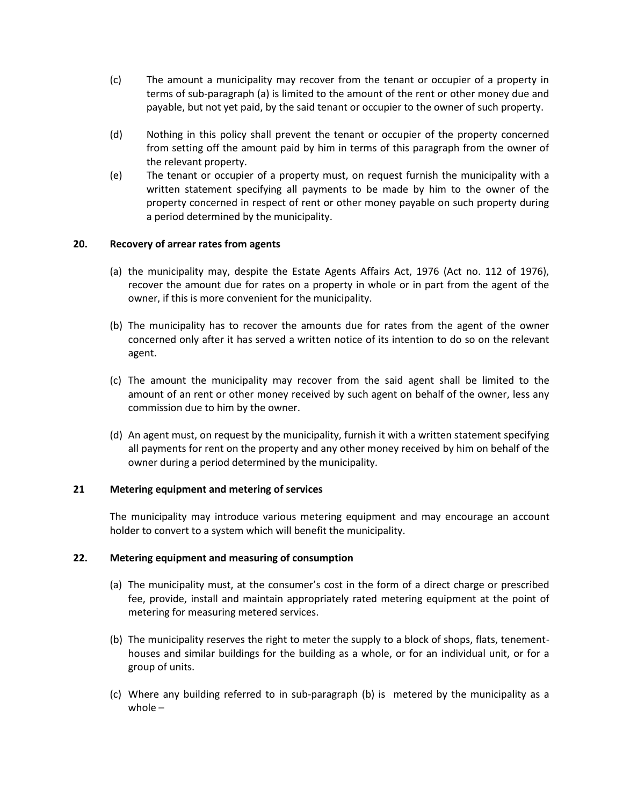- (c) The amount a municipality may recover from the tenant or occupier of a property in terms of sub-paragraph (a) is limited to the amount of the rent or other money due and payable, but not yet paid, by the said tenant or occupier to the owner of such property.
- (d) Nothing in this policy shall prevent the tenant or occupier of the property concerned from setting off the amount paid by him in terms of this paragraph from the owner of the relevant property.
- (e) The tenant or occupier of a property must, on request furnish the municipality with a written statement specifying all payments to be made by him to the owner of the property concerned in respect of rent or other money payable on such property during a period determined by the municipality.

## **20. Recovery of arrear rates from agents**

- (a) the municipality may, despite the Estate Agents Affairs Act, 1976 (Act no. 112 of 1976), recover the amount due for rates on a property in whole or in part from the agent of the owner, if this is more convenient for the municipality.
- (b) The municipality has to recover the amounts due for rates from the agent of the owner concerned only after it has served a written notice of its intention to do so on the relevant agent.
- (c) The amount the municipality may recover from the said agent shall be limited to the amount of an rent or other money received by such agent on behalf of the owner, less any commission due to him by the owner.
- (d) An agent must, on request by the municipality, furnish it with a written statement specifying all payments for rent on the property and any other money received by him on behalf of the owner during a period determined by the municipality.

## **21 Metering equipment and metering of services**

The municipality may introduce various metering equipment and may encourage an account holder to convert to a system which will benefit the municipality.

### **22. Metering equipment and measuring of consumption**

- (a) The municipality must, at the consumer's cost in the form of a direct charge or prescribed fee, provide, install and maintain appropriately rated metering equipment at the point of metering for measuring metered services.
- (b) The municipality reserves the right to meter the supply to a block of shops, flats, tenementhouses and similar buildings for the building as a whole, or for an individual unit, or for a group of units.
- (c) Where any building referred to in sub-paragraph (b) is metered by the municipality as a whole –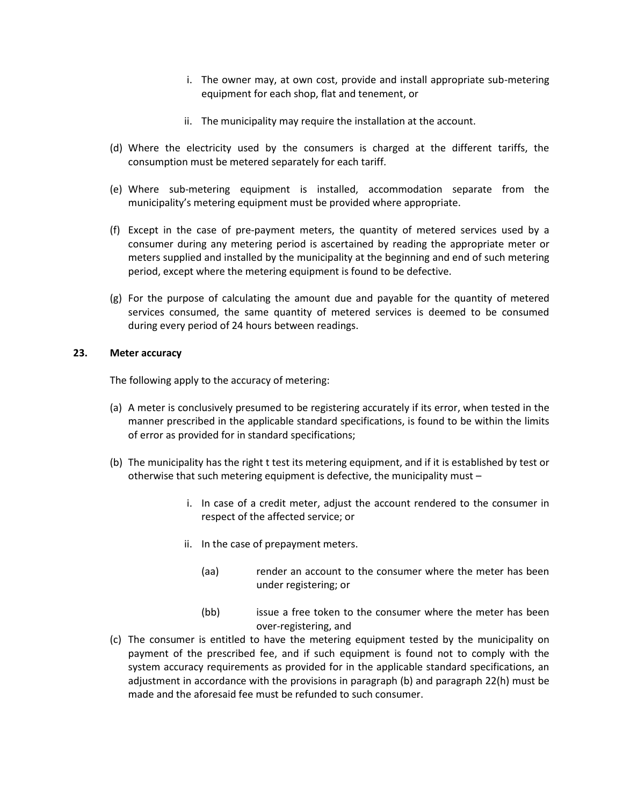- i. The owner may, at own cost, provide and install appropriate sub-metering equipment for each shop, flat and tenement, or
- ii. The municipality may require the installation at the account.
- (d) Where the electricity used by the consumers is charged at the different tariffs, the consumption must be metered separately for each tariff.
- (e) Where sub-metering equipment is installed, accommodation separate from the municipality's metering equipment must be provided where appropriate.
- (f) Except in the case of pre-payment meters, the quantity of metered services used by a consumer during any metering period is ascertained by reading the appropriate meter or meters supplied and installed by the municipality at the beginning and end of such metering period, except where the metering equipment is found to be defective.
- (g) For the purpose of calculating the amount due and payable for the quantity of metered services consumed, the same quantity of metered services is deemed to be consumed during every period of 24 hours between readings.

# **23. Meter accuracy**

The following apply to the accuracy of metering:

- (a) A meter is conclusively presumed to be registering accurately if its error, when tested in the manner prescribed in the applicable standard specifications, is found to be within the limits of error as provided for in standard specifications;
- (b) The municipality has the right t test its metering equipment, and if it is established by test or otherwise that such metering equipment is defective, the municipality must –
	- i. In case of a credit meter, adjust the account rendered to the consumer in respect of the affected service; or
	- ii. In the case of prepayment meters.
		- (aa) render an account to the consumer where the meter has been under registering; or
		- (bb) issue a free token to the consumer where the meter has been over-registering, and
- (c) The consumer is entitled to have the metering equipment tested by the municipality on payment of the prescribed fee, and if such equipment is found not to comply with the system accuracy requirements as provided for in the applicable standard specifications, an adjustment in accordance with the provisions in paragraph (b) and paragraph 22(h) must be made and the aforesaid fee must be refunded to such consumer.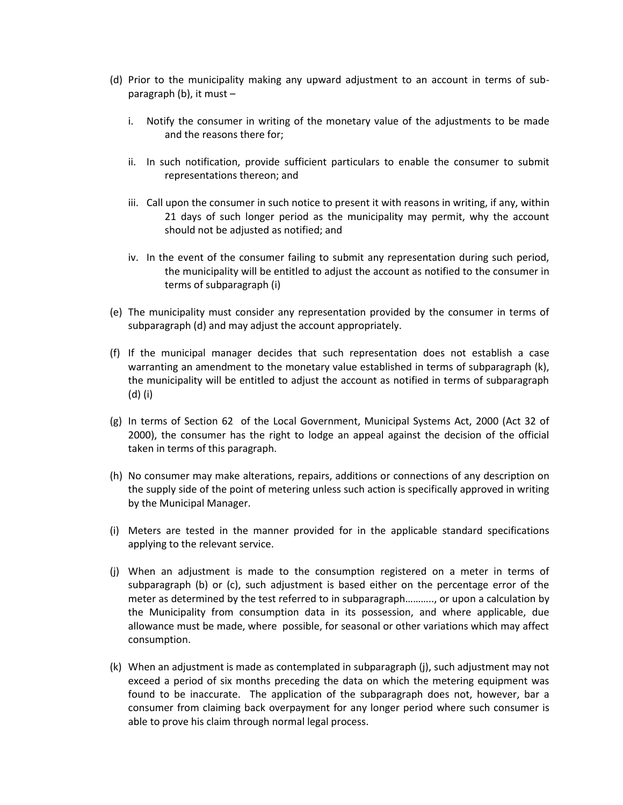- (d) Prior to the municipality making any upward adjustment to an account in terms of subparagraph (b), it must –
	- i. Notify the consumer in writing of the monetary value of the adjustments to be made and the reasons there for;
	- ii. In such notification, provide sufficient particulars to enable the consumer to submit representations thereon; and
	- iii. Call upon the consumer in such notice to present it with reasons in writing, if any, within 21 days of such longer period as the municipality may permit, why the account should not be adjusted as notified; and
	- iv. In the event of the consumer failing to submit any representation during such period, the municipality will be entitled to adjust the account as notified to the consumer in terms of subparagraph (i)
- (e) The municipality must consider any representation provided by the consumer in terms of subparagraph (d) and may adjust the account appropriately.
- (f) If the municipal manager decides that such representation does not establish a case warranting an amendment to the monetary value established in terms of subparagraph (k), the municipality will be entitled to adjust the account as notified in terms of subparagraph (d) (i)
- (g) In terms of Section 62 of the Local Government, Municipal Systems Act, 2000 (Act 32 of 2000), the consumer has the right to lodge an appeal against the decision of the official taken in terms of this paragraph.
- (h) No consumer may make alterations, repairs, additions or connections of any description on the supply side of the point of metering unless such action is specifically approved in writing by the Municipal Manager.
- (i) Meters are tested in the manner provided for in the applicable standard specifications applying to the relevant service.
- (j) When an adjustment is made to the consumption registered on a meter in terms of subparagraph (b) or (c), such adjustment is based either on the percentage error of the meter as determined by the test referred to in subparagraph……….., or upon a calculation by the Municipality from consumption data in its possession, and where applicable, due allowance must be made, where possible, for seasonal or other variations which may affect consumption.
- (k) When an adjustment is made as contemplated in subparagraph (j), such adjustment may not exceed a period of six months preceding the data on which the metering equipment was found to be inaccurate. The application of the subparagraph does not, however, bar a consumer from claiming back overpayment for any longer period where such consumer is able to prove his claim through normal legal process.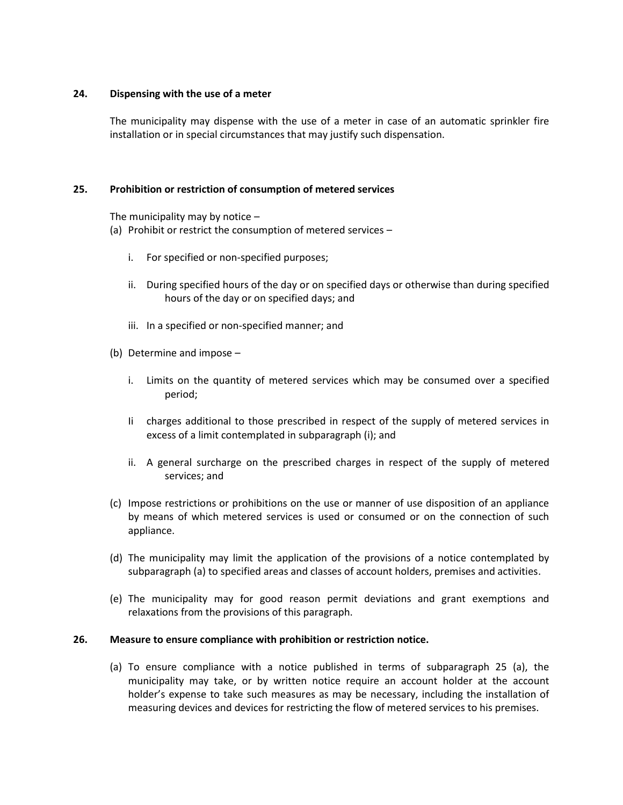#### **24. Dispensing with the use of a meter**

The municipality may dispense with the use of a meter in case of an automatic sprinkler fire installation or in special circumstances that may justify such dispensation.

#### **25. Prohibition or restriction of consumption of metered services**

The municipality may by notice  $-$ 

(a) Prohibit or restrict the consumption of metered services –

- i. For specified or non-specified purposes;
- ii. During specified hours of the day or on specified days or otherwise than during specified hours of the day or on specified days; and
- iii. In a specified or non-specified manner; and
- (b) Determine and impose
	- i. Limits on the quantity of metered services which may be consumed over a specified period;
	- Ii charges additional to those prescribed in respect of the supply of metered services in excess of a limit contemplated in subparagraph (i); and
	- ii. A general surcharge on the prescribed charges in respect of the supply of metered services; and
- (c) Impose restrictions or prohibitions on the use or manner of use disposition of an appliance by means of which metered services is used or consumed or on the connection of such appliance.
- (d) The municipality may limit the application of the provisions of a notice contemplated by subparagraph (a) to specified areas and classes of account holders, premises and activities.
- (e) The municipality may for good reason permit deviations and grant exemptions and relaxations from the provisions of this paragraph.

#### **26. Measure to ensure compliance with prohibition or restriction notice.**

(a) To ensure compliance with a notice published in terms of subparagraph 25 (a), the municipality may take, or by written notice require an account holder at the account holder's expense to take such measures as may be necessary, including the installation of measuring devices and devices for restricting the flow of metered services to his premises.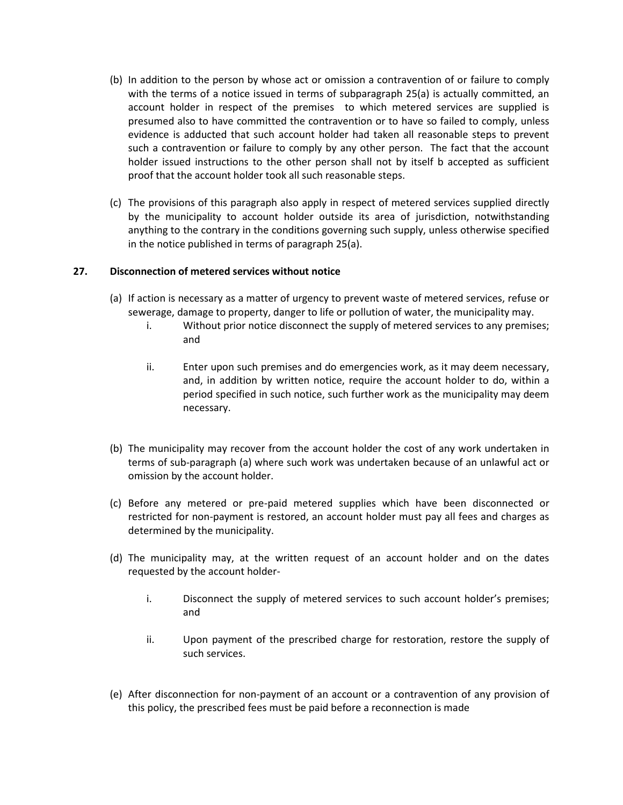- (b) In addition to the person by whose act or omission a contravention of or failure to comply with the terms of a notice issued in terms of subparagraph 25(a) is actually committed, an account holder in respect of the premises to which metered services are supplied is presumed also to have committed the contravention or to have so failed to comply, unless evidence is adducted that such account holder had taken all reasonable steps to prevent such a contravention or failure to comply by any other person. The fact that the account holder issued instructions to the other person shall not by itself b accepted as sufficient proof that the account holder took all such reasonable steps.
- (c) The provisions of this paragraph also apply in respect of metered services supplied directly by the municipality to account holder outside its area of jurisdiction, notwithstanding anything to the contrary in the conditions governing such supply, unless otherwise specified in the notice published in terms of paragraph 25(a).

## **27. Disconnection of metered services without notice**

- (a) If action is necessary as a matter of urgency to prevent waste of metered services, refuse or sewerage, damage to property, danger to life or pollution of water, the municipality may.
	- i. Without prior notice disconnect the supply of metered services to any premises; and
	- ii. Enter upon such premises and do emergencies work, as it may deem necessary, and, in addition by written notice, require the account holder to do, within a period specified in such notice, such further work as the municipality may deem necessary.
- (b) The municipality may recover from the account holder the cost of any work undertaken in terms of sub-paragraph (a) where such work was undertaken because of an unlawful act or omission by the account holder.
- (c) Before any metered or pre-paid metered supplies which have been disconnected or restricted for non-payment is restored, an account holder must pay all fees and charges as determined by the municipality.
- (d) The municipality may, at the written request of an account holder and on the dates requested by the account holder
	- i. Disconnect the supply of metered services to such account holder's premises; and
	- ii. Upon payment of the prescribed charge for restoration, restore the supply of such services.
- (e) After disconnection for non-payment of an account or a contravention of any provision of this policy, the prescribed fees must be paid before a reconnection is made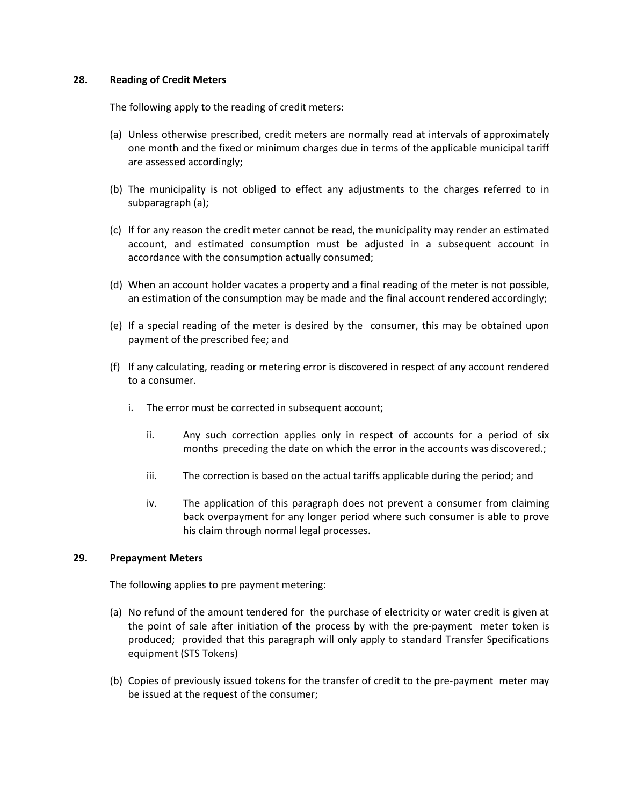#### **28. Reading of Credit Meters**

The following apply to the reading of credit meters:

- (a) Unless otherwise prescribed, credit meters are normally read at intervals of approximately one month and the fixed or minimum charges due in terms of the applicable municipal tariff are assessed accordingly;
- (b) The municipality is not obliged to effect any adjustments to the charges referred to in subparagraph (a);
- (c) If for any reason the credit meter cannot be read, the municipality may render an estimated account, and estimated consumption must be adjusted in a subsequent account in accordance with the consumption actually consumed;
- (d) When an account holder vacates a property and a final reading of the meter is not possible, an estimation of the consumption may be made and the final account rendered accordingly;
- (e) If a special reading of the meter is desired by the consumer, this may be obtained upon payment of the prescribed fee; and
- (f) If any calculating, reading or metering error is discovered in respect of any account rendered to a consumer.
	- i. The error must be corrected in subsequent account;
		- ii. Any such correction applies only in respect of accounts for a period of six months preceding the date on which the error in the accounts was discovered.;
		- iii. The correction is based on the actual tariffs applicable during the period; and
		- iv. The application of this paragraph does not prevent a consumer from claiming back overpayment for any longer period where such consumer is able to prove his claim through normal legal processes.

## **29. Prepayment Meters**

The following applies to pre payment metering:

- (a) No refund of the amount tendered for the purchase of electricity or water credit is given at the point of sale after initiation of the process by with the pre-payment meter token is produced; provided that this paragraph will only apply to standard Transfer Specifications equipment (STS Tokens)
- (b) Copies of previously issued tokens for the transfer of credit to the pre-payment meter may be issued at the request of the consumer;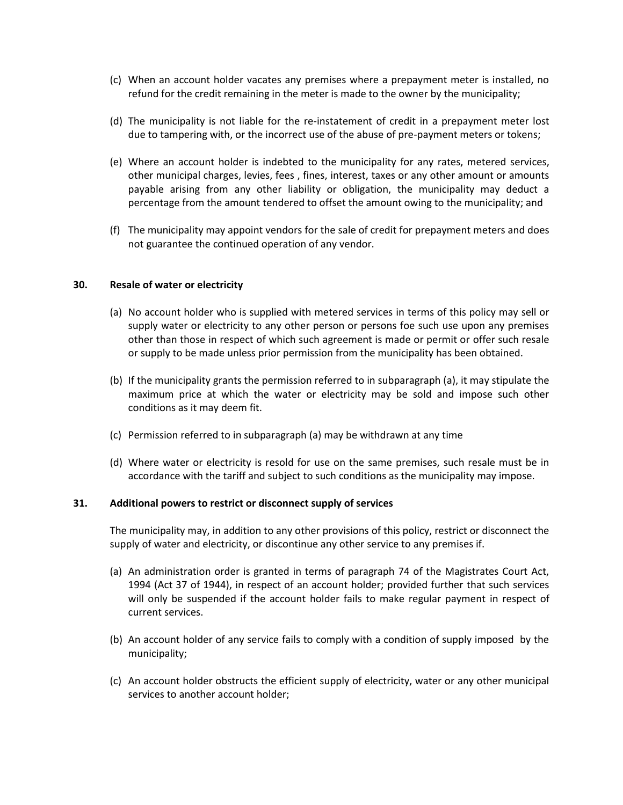- (c) When an account holder vacates any premises where a prepayment meter is installed, no refund for the credit remaining in the meter is made to the owner by the municipality;
- (d) The municipality is not liable for the re-instatement of credit in a prepayment meter lost due to tampering with, or the incorrect use of the abuse of pre-payment meters or tokens;
- (e) Where an account holder is indebted to the municipality for any rates, metered services, other municipal charges, levies, fees , fines, interest, taxes or any other amount or amounts payable arising from any other liability or obligation, the municipality may deduct a percentage from the amount tendered to offset the amount owing to the municipality; and
- (f) The municipality may appoint vendors for the sale of credit for prepayment meters and does not guarantee the continued operation of any vendor.

#### **30. Resale of water or electricity**

- (a) No account holder who is supplied with metered services in terms of this policy may sell or supply water or electricity to any other person or persons foe such use upon any premises other than those in respect of which such agreement is made or permit or offer such resale or supply to be made unless prior permission from the municipality has been obtained.
- (b) If the municipality grants the permission referred to in subparagraph (a), it may stipulate the maximum price at which the water or electricity may be sold and impose such other conditions as it may deem fit.
- (c) Permission referred to in subparagraph (a) may be withdrawn at any time
- (d) Where water or electricity is resold for use on the same premises, such resale must be in accordance with the tariff and subject to such conditions as the municipality may impose.

#### **31. Additional powers to restrict or disconnect supply of services**

The municipality may, in addition to any other provisions of this policy, restrict or disconnect the supply of water and electricity, or discontinue any other service to any premises if.

- (a) An administration order is granted in terms of paragraph 74 of the Magistrates Court Act, 1994 (Act 37 of 1944), in respect of an account holder; provided further that such services will only be suspended if the account holder fails to make regular payment in respect of current services.
- (b) An account holder of any service fails to comply with a condition of supply imposed by the municipality;
- (c) An account holder obstructs the efficient supply of electricity, water or any other municipal services to another account holder;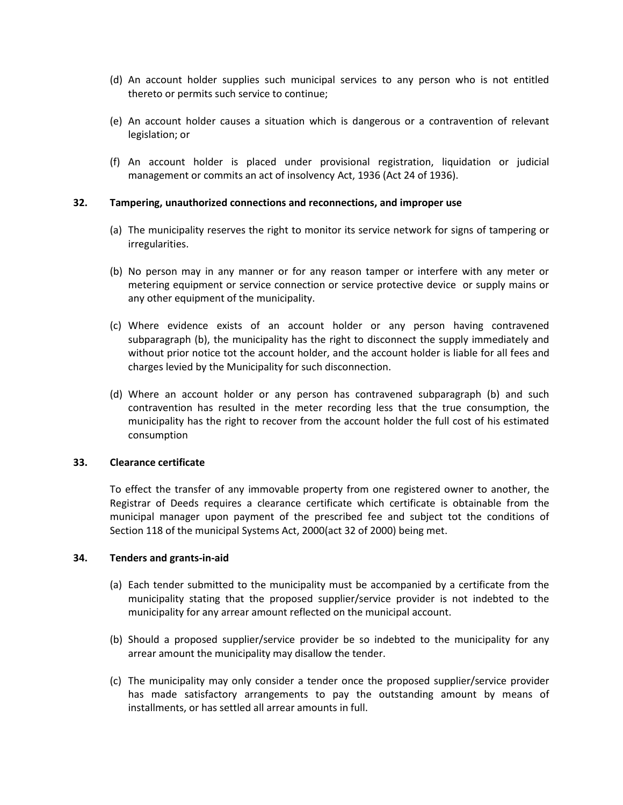- (d) An account holder supplies such municipal services to any person who is not entitled thereto or permits such service to continue;
- (e) An account holder causes a situation which is dangerous or a contravention of relevant legislation; or
- (f) An account holder is placed under provisional registration, liquidation or judicial management or commits an act of insolvency Act, 1936 (Act 24 of 1936).

#### **32. Tampering, unauthorized connections and reconnections, and improper use**

- (a) The municipality reserves the right to monitor its service network for signs of tampering or irregularities.
- (b) No person may in any manner or for any reason tamper or interfere with any meter or metering equipment or service connection or service protective device or supply mains or any other equipment of the municipality.
- (c) Where evidence exists of an account holder or any person having contravened subparagraph (b), the municipality has the right to disconnect the supply immediately and without prior notice tot the account holder, and the account holder is liable for all fees and charges levied by the Municipality for such disconnection.
- (d) Where an account holder or any person has contravened subparagraph (b) and such contravention has resulted in the meter recording less that the true consumption, the municipality has the right to recover from the account holder the full cost of his estimated consumption

#### **33. Clearance certificate**

To effect the transfer of any immovable property from one registered owner to another, the Registrar of Deeds requires a clearance certificate which certificate is obtainable from the municipal manager upon payment of the prescribed fee and subject tot the conditions of Section 118 of the municipal Systems Act, 2000(act 32 of 2000) being met.

#### **34. Tenders and grants-in-aid**

- (a) Each tender submitted to the municipality must be accompanied by a certificate from the municipality stating that the proposed supplier/service provider is not indebted to the municipality for any arrear amount reflected on the municipal account.
- (b) Should a proposed supplier/service provider be so indebted to the municipality for any arrear amount the municipality may disallow the tender.
- (c) The municipality may only consider a tender once the proposed supplier/service provider has made satisfactory arrangements to pay the outstanding amount by means of installments, or has settled all arrear amounts in full.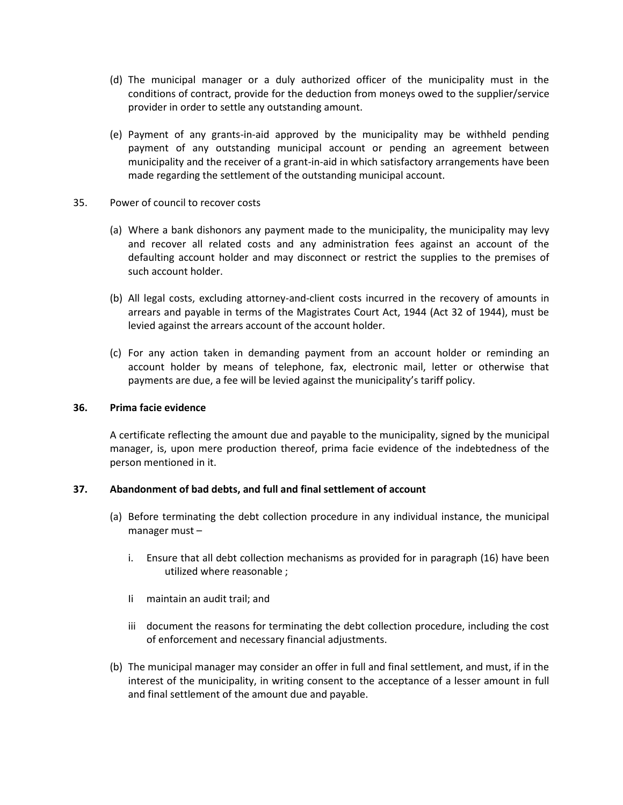- (d) The municipal manager or a duly authorized officer of the municipality must in the conditions of contract, provide for the deduction from moneys owed to the supplier/service provider in order to settle any outstanding amount.
- (e) Payment of any grants-in-aid approved by the municipality may be withheld pending payment of any outstanding municipal account or pending an agreement between municipality and the receiver of a grant-in-aid in which satisfactory arrangements have been made regarding the settlement of the outstanding municipal account.
- 35. Power of council to recover costs
	- (a) Where a bank dishonors any payment made to the municipality, the municipality may levy and recover all related costs and any administration fees against an account of the defaulting account holder and may disconnect or restrict the supplies to the premises of such account holder.
	- (b) All legal costs, excluding attorney-and-client costs incurred in the recovery of amounts in arrears and payable in terms of the Magistrates Court Act, 1944 (Act 32 of 1944), must be levied against the arrears account of the account holder.
	- (c) For any action taken in demanding payment from an account holder or reminding an account holder by means of telephone, fax, electronic mail, letter or otherwise that payments are due, a fee will be levied against the municipality's tariff policy.

#### **36. Prima facie evidence**

A certificate reflecting the amount due and payable to the municipality, signed by the municipal manager, is, upon mere production thereof, prima facie evidence of the indebtedness of the person mentioned in it.

## **37. Abandonment of bad debts, and full and final settlement of account**

- (a) Before terminating the debt collection procedure in any individual instance, the municipal manager must –
	- i. Ensure that all debt collection mechanisms as provided for in paragraph (16) have been utilized where reasonable ;
	- Ii maintain an audit trail; and
	- iii document the reasons for terminating the debt collection procedure, including the cost of enforcement and necessary financial adjustments.
- (b) The municipal manager may consider an offer in full and final settlement, and must, if in the interest of the municipality, in writing consent to the acceptance of a lesser amount in full and final settlement of the amount due and payable.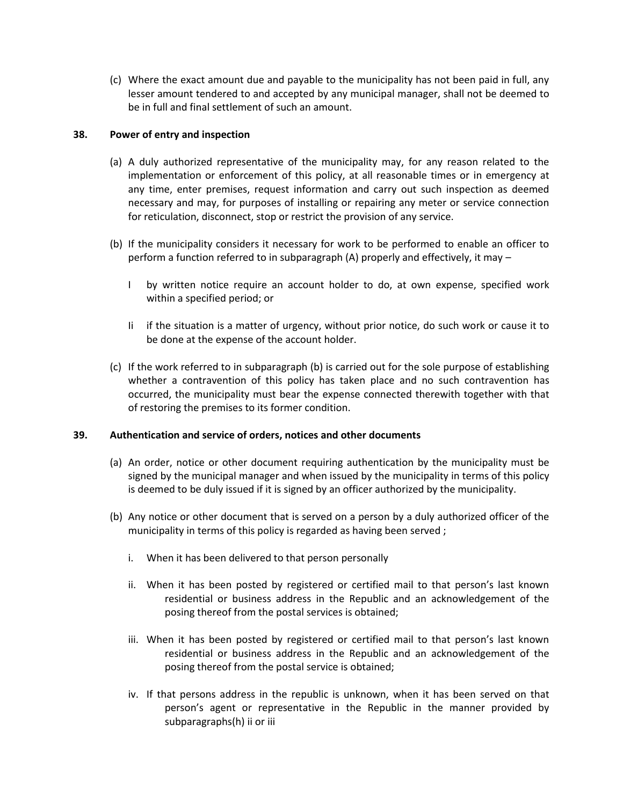(c) Where the exact amount due and payable to the municipality has not been paid in full, any lesser amount tendered to and accepted by any municipal manager, shall not be deemed to be in full and final settlement of such an amount.

# **38. Power of entry and inspection**

- (a) A duly authorized representative of the municipality may, for any reason related to the implementation or enforcement of this policy, at all reasonable times or in emergency at any time, enter premises, request information and carry out such inspection as deemed necessary and may, for purposes of installing or repairing any meter or service connection for reticulation, disconnect, stop or restrict the provision of any service.
- (b) If the municipality considers it necessary for work to be performed to enable an officer to perform a function referred to in subparagraph (A) properly and effectively, it may –
	- I by written notice require an account holder to do, at own expense, specified work within a specified period; or
	- Ii if the situation is a matter of urgency, without prior notice, do such work or cause it to be done at the expense of the account holder.
- (c) If the work referred to in subparagraph (b) is carried out for the sole purpose of establishing whether a contravention of this policy has taken place and no such contravention has occurred, the municipality must bear the expense connected therewith together with that of restoring the premises to its former condition.

## **39. Authentication and service of orders, notices and other documents**

- (a) An order, notice or other document requiring authentication by the municipality must be signed by the municipal manager and when issued by the municipality in terms of this policy is deemed to be duly issued if it is signed by an officer authorized by the municipality.
- (b) Any notice or other document that is served on a person by a duly authorized officer of the municipality in terms of this policy is regarded as having been served ;
	- i. When it has been delivered to that person personally
	- ii. When it has been posted by registered or certified mail to that person's last known residential or business address in the Republic and an acknowledgement of the posing thereof from the postal services is obtained;
	- iii. When it has been posted by registered or certified mail to that person's last known residential or business address in the Republic and an acknowledgement of the posing thereof from the postal service is obtained;
	- iv. If that persons address in the republic is unknown, when it has been served on that person's agent or representative in the Republic in the manner provided by subparagraphs(h) ii or iii